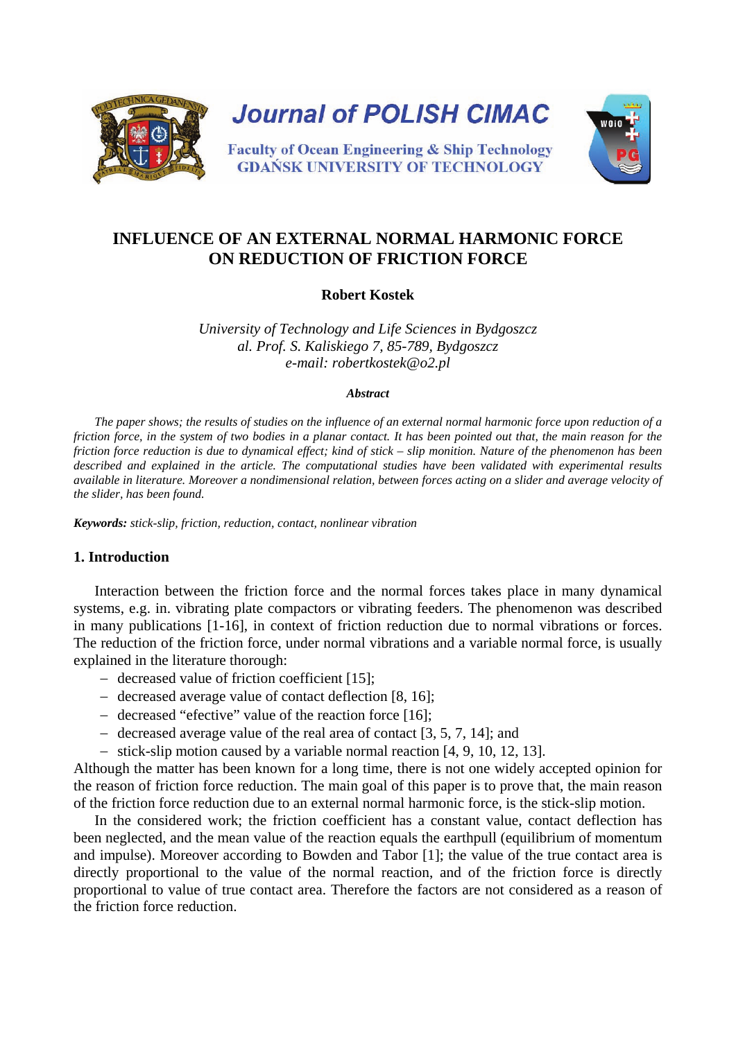

# **INFLUENCE OF AN EXTERNAL NORMAL HARMONIC FORCE ON REDUCTION OF FRICTION FORCE**

# **Robert Kostek**

*University of Technology and Life Sciences in Bydgoszcz al. Prof. S. Kaliskiego 7, 85-789, Bydgoszcz e-mail: robertkostek@o2.pl* 

#### *Abstract*

*The paper shows; the results of studies on the influence of an external normal harmonic force upon reduction of a friction force, in the system of two bodies in a planar contact. It has been pointed out that, the main reason for the friction force reduction is due to dynamical effect; kind of stick – slip monition. Nature of the phenomenon has been described and explained in the article. The computational studies have been validated with experimental results available in literature. Moreover a nondimensional relation, between forces acting on a slider and average velocity of the slider, has been found.*

*Keywords: stick-slip, friction, reduction, contact, nonlinear vibration*

# **1. Introduction**

Interaction between the friction force and the normal forces takes place in many dynamical systems, e.g. in. vibrating plate compactors or vibrating feeders. The phenomenon was described in many publications [1-16], in context of friction reduction due to normal vibrations or forces. The reduction of the friction force, under normal vibrations and a variable normal force, is usually explained in the literature thorough:

- − decreased value of friction coefficient [15];
- − decreased average value of contact deflection [8, 16];
- − decreased "efective" value of the reaction force [16];
- − decreased average value of the real area of contact [3, 5, 7, 14]; and
- − stick-slip motion caused by a variable normal reaction [4, 9, 10, 12, 13].

Although the matter has been known for a long time, there is not one widely accepted opinion for the reason of friction force reduction. The main goal of this paper is to prove that, the main reason of the friction force reduction due to an external normal harmonic force, is the stick-slip motion.

In the considered work; the friction coefficient has a constant value, contact deflection has been neglected, and the mean value of the reaction equals the earthpull (equilibrium of momentum and impulse). Moreover according to Bowden and Tabor [1]; the value of the true contact area is directly proportional to the value of the normal reaction, and of the friction force is directly proportional to value of true contact area. Therefore the factors are not considered as a reason of the friction force reduction.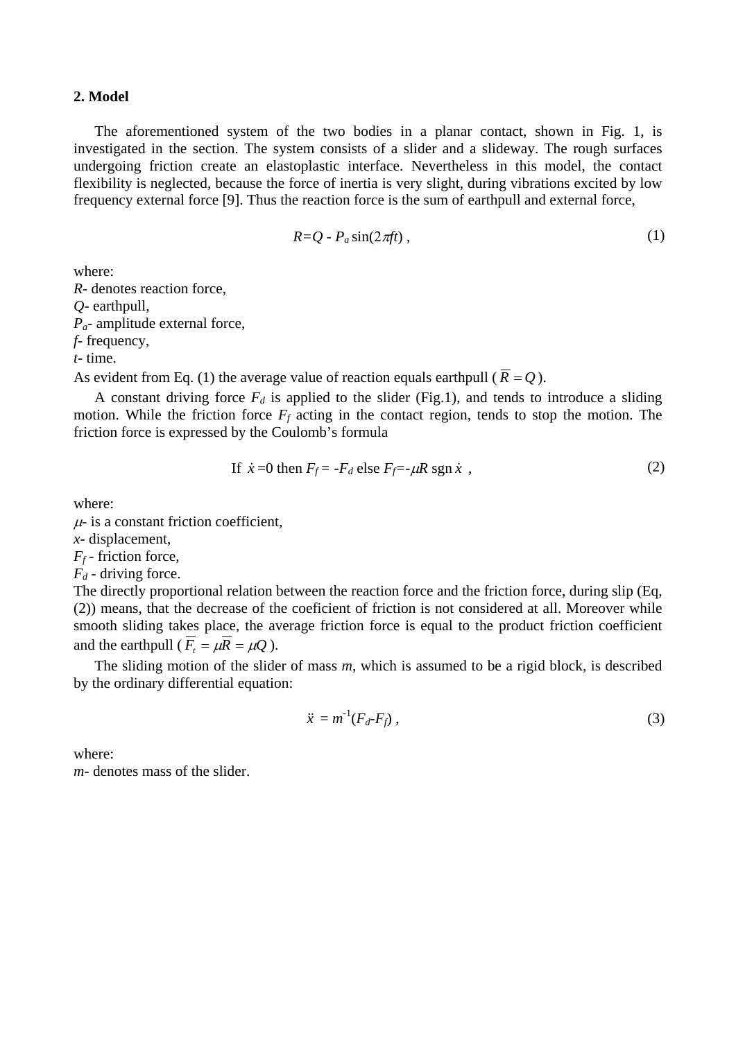#### **2. Model**

The aforementioned system of the two bodies in a planar contact, shown in Fig. 1, is investigated in the section. The system consists of a slider and a slideway. The rough surfaces undergoing friction create an elastoplastic interface. Nevertheless in this model, the contact flexibility is neglected, because the force of inertia is very slight, during vibrations excited by low frequency external force [9]. Thus the reaction force is the sum of earthpull and external force,

$$
R = Q - P_a \sin(2\pi f t) \tag{1}
$$

where:

*R*- denotes reaction force, *Q*- earthpull, *Pa*- amplitude external force, *f*- frequency, *t*- time.

As evident from Eq. (1) the average value of reaction equals earthpull ( $\overline{R} = Q$ ).

A constant driving force  $F_d$  is applied to the slider (Fig.1), and tends to introduce a sliding motion. While the friction force  $F_f$  acting in the contact region, tends to stop the motion. The friction force is expressed by the Coulomb's formula

If 
$$
\dot{x} = 0
$$
 then  $F_f = -F_d$  else  $F_f = -\mu R \text{ sgn } \dot{x}$ , (2)

where:

 $\mu$ - is a constant friction coefficient,

*x*- displacement,

 $F_f$ - friction force,

 $F_d$  - driving force.

The directly proportional relation between the reaction force and the friction force, during slip (Eq, (2)) means, that the decrease of the coeficient of friction is not considered at all. Moreover while smooth sliding takes place, the average friction force is equal to the product friction coefficient and the earthpull ( $\overline{F}_t = \mu \overline{R} = \mu Q$ ).

The sliding motion of the slider of mass *m*, which is assumed to be a rigid block, is described by the ordinary differential equation:

$$
\ddot{x} = m^{-1}(F_d - F_f) \tag{3}
$$

where:

*m*- denotes mass of the slider.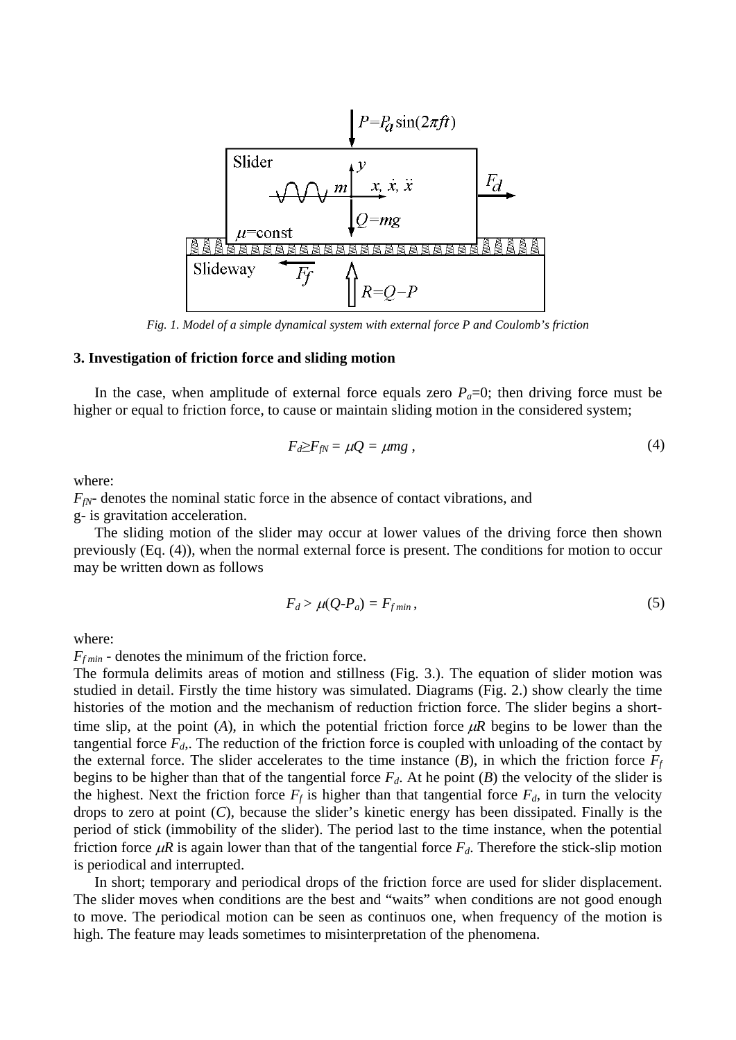

*Fig. 1. Model of a simple dynamical system with external force P and Coulomb's friction*

#### **3. Investigation of friction force and sliding motion**

In the case, when amplitude of external force equals zero  $P_a=0$ ; then driving force must be higher or equal to friction force, to cause or maintain sliding motion in the considered system;

$$
F_d \geq F_{fN} = \mu Q = \mu mg \,, \tag{4}
$$

where:

 $F_{fN}$ - denotes the nominal static force in the absence of contact vibrations, and

g- is gravitation acceleration.

The sliding motion of the slider may occur at lower values of the driving force then shown previously (Eq. (4)), when the normal external force is present. The conditions for motion to occur may be written down as follows

$$
F_d > \mu(Q \cdot P_a) = F_{fmin},\tag{5}
$$

where:

 $F_{f \text{min}}$  - denotes the minimum of the friction force.

The formula delimits areas of motion and stillness (Fig. 3.). The equation of slider motion was studied in detail. Firstly the time history was simulated. Diagrams (Fig. 2.) show clearly the time histories of the motion and the mechanism of reduction friction force. The slider begins a shorttime slip, at the point (*A*), in which the potential friction force  $\mu$ R begins to be lower than the tangential force  $F<sub>d</sub>$ . The reduction of the friction force is coupled with unloading of the contact by the external force. The slider accelerates to the time instance  $(B)$ , in which the friction force  $F_f$ begins to be higher than that of the tangential force  $F<sub>d</sub>$ . At he point (*B*) the velocity of the slider is the highest. Next the friction force  $F_f$  is higher than that tangential force  $F_d$ , in turn the velocity drops to zero at point (*C*), because the slider's kinetic energy has been dissipated. Finally is the period of stick (immobility of the slider). The period last to the time instance, when the potential friction force  $\mu$ *R* is again lower than that of the tangential force  $F_d$ . Therefore the stick-slip motion is periodical and interrupted.

In short; temporary and periodical drops of the friction force are used for slider displacement. The slider moves when conditions are the best and "waits" when conditions are not good enough to move. The periodical motion can be seen as continuos one, when frequency of the motion is high. The feature may leads sometimes to misinterpretation of the phenomena.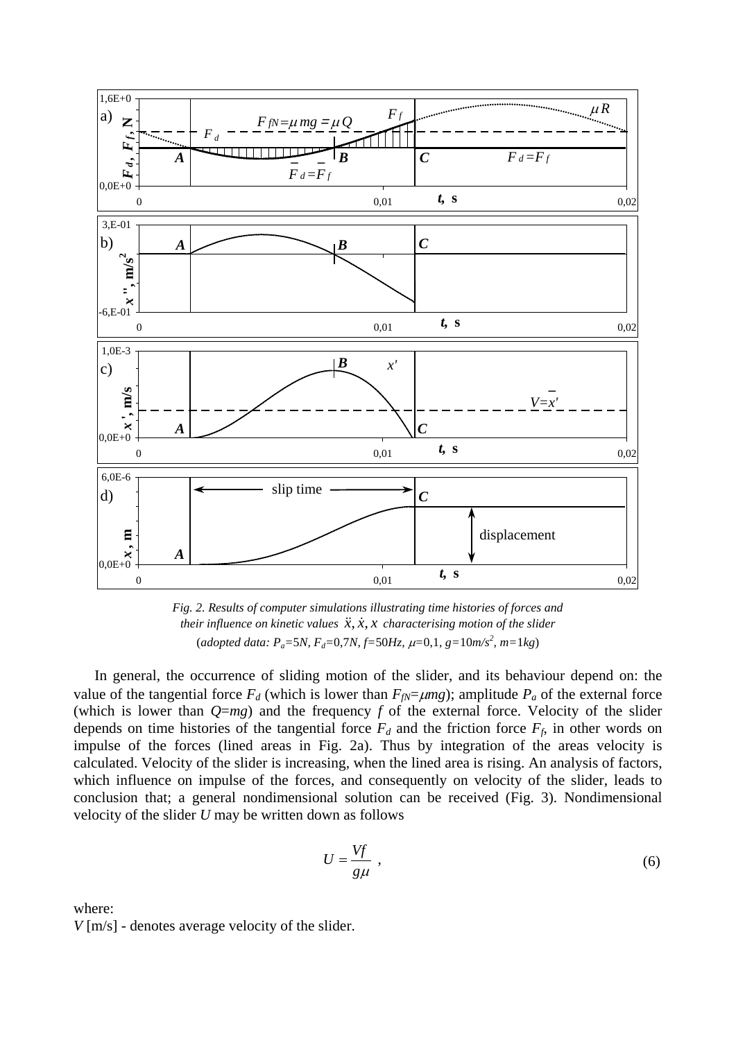

*Fig. 2. Results of computer simulations illustrating time histories of forces and their influence on kinetic values*  $\ddot{x}, \dot{x}, x$  *characterising motion of the slider* (*adopted data: Pa=*5*N, Fd=*0,7*N, f=*50*Hz,* µ*=*0,1*, g=*10*m/s<sup>2</sup> , m=*1*kg*)

In general, the occurrence of sliding motion of the slider, and its behaviour depend on: the value of the tangential force  $F_d$  (which is lower than  $F_{fN} = \mu mg$ ); amplitude  $P_a$  of the external force (which is lower than  $Q=mg$ ) and the frequency  $f$  of the external force. Velocity of the slider depends on time histories of the tangential force  $F_d$  and the friction force  $F_f$ , in other words on impulse of the forces (lined areas in Fig. 2a). Thus by integration of the areas velocity is calculated. Velocity of the slider is increasing, when the lined area is rising. An analysis of factors, which influence on impulse of the forces, and consequently on velocity of the slider, leads to conclusion that; a general nondimensional solution can be received (Fig. 3). Nondimensional velocity of the slider *U* may be written down as follows

$$
U = \frac{Vf}{g\mu} \tag{6}
$$

where:

*V* [m/s] - denotes average velocity of the slider.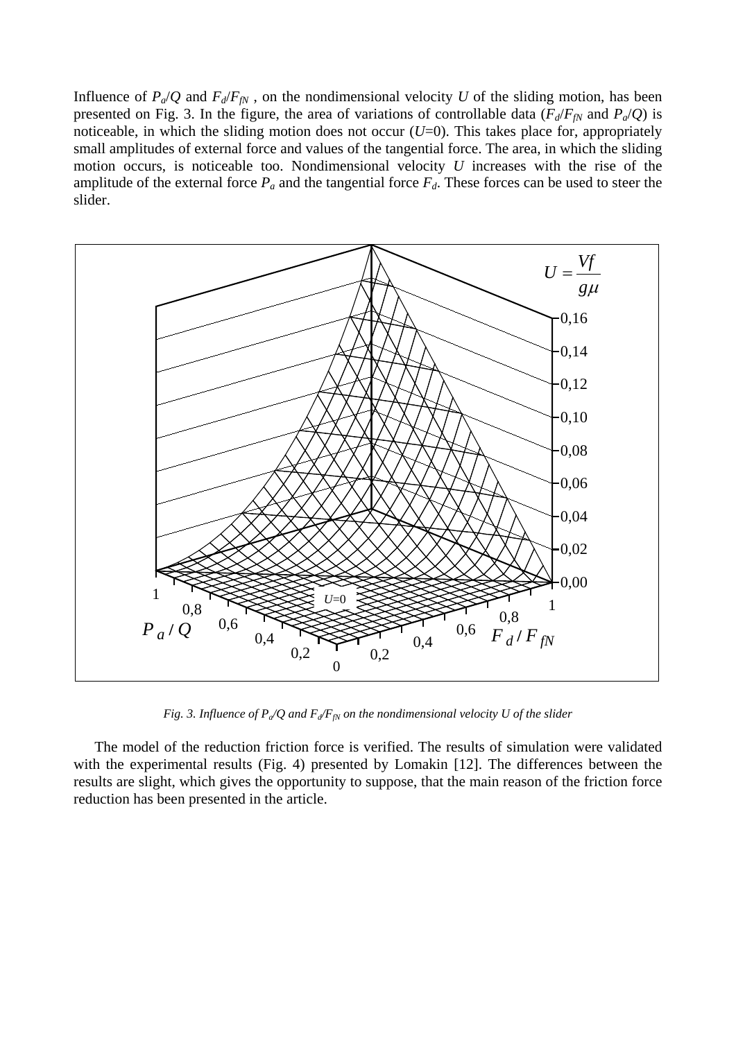Influence of  $P_a/Q$  and  $F_d/F_{fN}$ , on the nondimensional velocity *U* of the sliding motion, has been presented on Fig. 3. In the figure, the area of variations of controllable data ( $F_d/F_f$ <sup>M</sup> and  $P_d/Q$ ) is noticeable, in which the sliding motion does not occur  $(U=0)$ . This takes place for, appropriately small amplitudes of external force and values of the tangential force. The area, in which the sliding motion occurs, is noticeable too. Nondimensional velocity *U* increases with the rise of the amplitude of the external force  $P_a$  and the tangential force  $F_d$ . These forces can be used to steer the slider.



*Fig. 3. Influence of*  $P_a/Q$  *and*  $F_d/F_m$  *on the nondimensional velocity U of the slider* 

The model of the reduction friction force is verified. The results of simulation were validated with the experimental results (Fig. 4) presented by Lomakin [12]. The differences between the results are slight, which gives the opportunity to suppose, that the main reason of the friction force reduction has been presented in the article.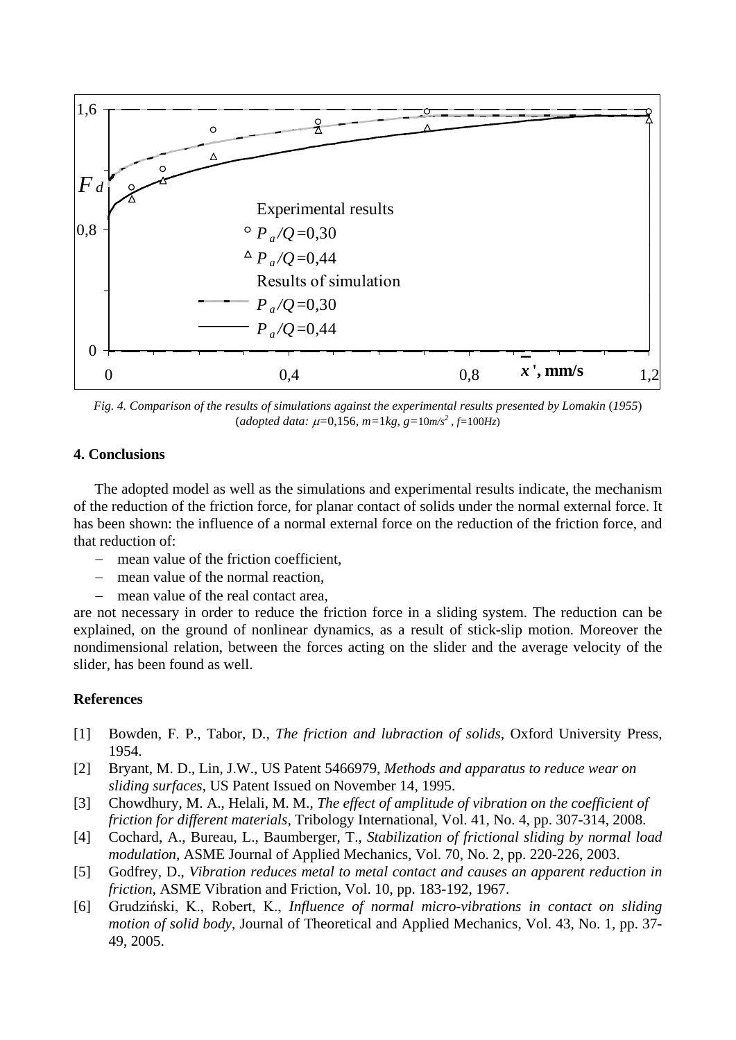

*Fig. 4. Comparison of the results of simulations against the experimental results presented by Lomakin (1955)*  $(adopted data: \mu=0,156, m=1kg, g=10m/s^2, f=100Hz)$ 

### **4. Conclusions**

The adopted model as well as the simulations and experimental results indicate, the mechanism of the reduction of the friction force, for planar contact of solids under the normal external force. It has been shown: the influence of a normal external force on the reduction of the friction force, and that reduction of:

- mean value of the friction coefficient,
- − mean value of the normal reaction,
- mean value of the real contact area,

are not necessary in order to reduce the friction force in a sliding system. The reduction can be explained, on the ground of nonlinear dynamics, as a result of stick-slip motion. Moreover the nondimensional relation, between the forces acting on the slider and the average velocity of the slider, has been found as well.

# **References**

- [1] Bowden, F. P., Tabor, D., *The friction and lubraction of solids*, Oxford University Press, 1954.
- [2] Bryant, M. D., Lin, J.W., US Patent 5466979, *Methods and apparatus to reduce wear on sliding surfaces*, US Patent Issued on November 14, 1995.
- [3] Chowdhury, M. A., Helali, M. M., *The effect of amplitude of vibration on the coefficient of friction for different materials*, Tribology International, Vol. 41, No. 4, pp. 307-314, 2008.
- [4] Cochard, A., Bureau, L., Baumberger, T., *Stabilization of frictional sliding by normal load modulation*, ASME Journal of Applied Mechanics, Vol. 70, No. 2, pp. 220-226, 2003.
- [5] Godfrey, D., *Vibration reduces metal to metal contact and causes an apparent reduction in friction*, ASME Vibration and Friction, Vol. 10, pp. 183-192, 1967.
- [6] Grudziński, K., Robert, K., *Influence of normal micro-vibrations in contact on sliding motion of solid body*, Journal of Theoretical and Applied Mechanics, Vol. 43, No. 1, pp. 37- 49, 2005.